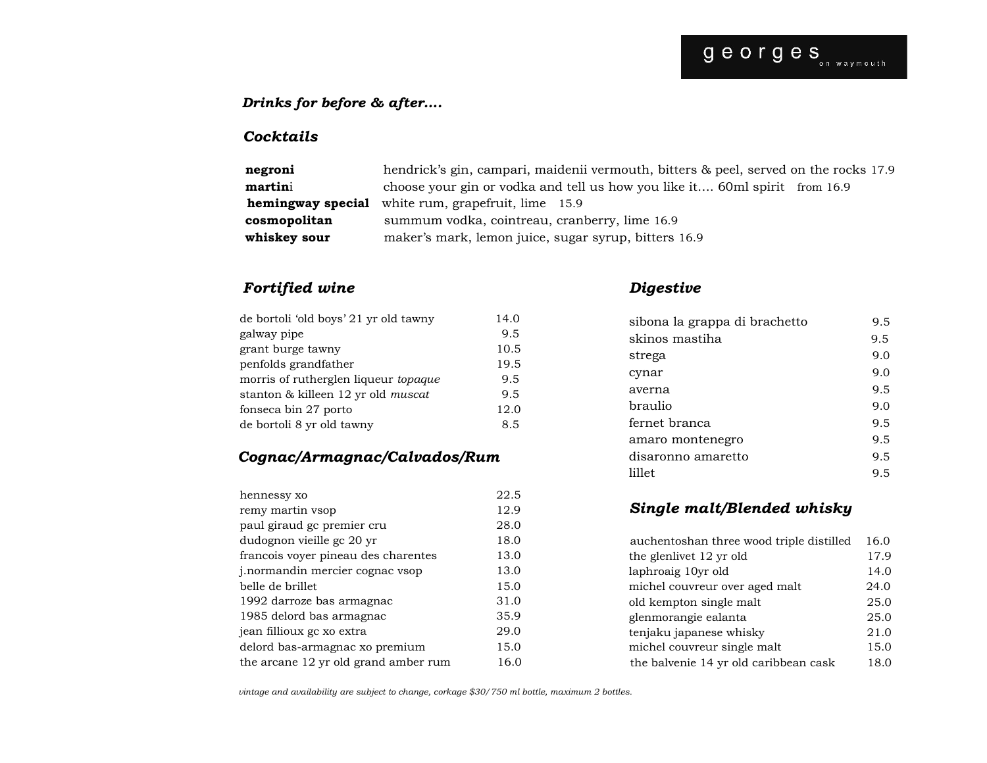#### *Drinks for before & after….*

#### *Cocktails*

| negroni      | hendrick's gin, campari, maidenii vermouth, bitters & peel, served on the rocks 17.9 |
|--------------|--------------------------------------------------------------------------------------|
| martini      | choose your gin or vodka and tell us how you like it 60ml spirit from 16.9           |
|              | <b>hemingway special</b> white rum, grapefruit, lime 15.9                            |
| cosmopolitan | summum vodka, cointreau, cranberry, lime 16.9                                        |
| whiskey sour | maker's mark, lemon juice, sugar syrup, bitters 16.9                                 |

#### *Fortified wine*

| galway pipe                                 | 9.5  |
|---------------------------------------------|------|
| grant burge tawny                           | 10.5 |
| penfolds grandfather                        | 19.5 |
| morris of rutherglen liqueur <i>topaque</i> | 9.5  |
| stanton & killeen 12 yr old muscat          | 9.5  |
| fonseca bin 27 porto                        | 12.0 |
| de bortoli 8 yr old tawny                   | 8.5  |

### *Cognac/Armagnac/Calvados/Rum*

| hennessy xo                          | 22.5 |
|--------------------------------------|------|
| remy martin vsop                     | 12.9 |
| paul giraud ge premier cru           | 28.0 |
| dudognon vieille gc 20 yr            | 18.0 |
| francois voyer pineau des charentes  | 13.0 |
| j. normandin mercier cognac vsop     | 13.0 |
| belle de brillet                     | 15.0 |
| 1992 darroze bas armagnac            | 31.0 |
| 1985 delord bas armagnac             | 35.9 |
| jean fillioux gc xo extra            | 29.0 |
| delord bas-armagnac xo premium       | 15.0 |
| the arcane 12 yr old grand amber rum | 16.0 |

#### *Digestive*

| sibona la grappa di brachetto | 9.5 |
|-------------------------------|-----|
| skinos mastiha                | 9.5 |
| strega                        | 9.0 |
| cynar                         | 9.0 |
| averna                        | 9.5 |
| braulio                       | 9.0 |
| fernet branca                 | 9.5 |
| amaro montenegro              | 9.5 |
| disaronno amaretto            | 9.5 |
| lillet                        | 9.5 |
|                               |     |

#### *Single malt/Blended whisky*

| auchentoshan three wood triple distilled | 16.0 |  |
|------------------------------------------|------|--|
| the glenlivet 12 yr old                  | 17.9 |  |
| laphroaig 10yr old                       | 14.0 |  |
| michel couvreur over aged malt           | 24.0 |  |
| old kempton single malt                  | 25.0 |  |
| glenmorangie ealanta                     | 25.0 |  |
| tenjaku japanese whisky                  | 21.0 |  |
| michel couvreur single malt              | 15.0 |  |
| the balvenie 14 yr old caribbean cask    | 18.0 |  |

 *vintage and availability are subject to change, corkage \$30/750 ml bottle, maximum 2 bottles.*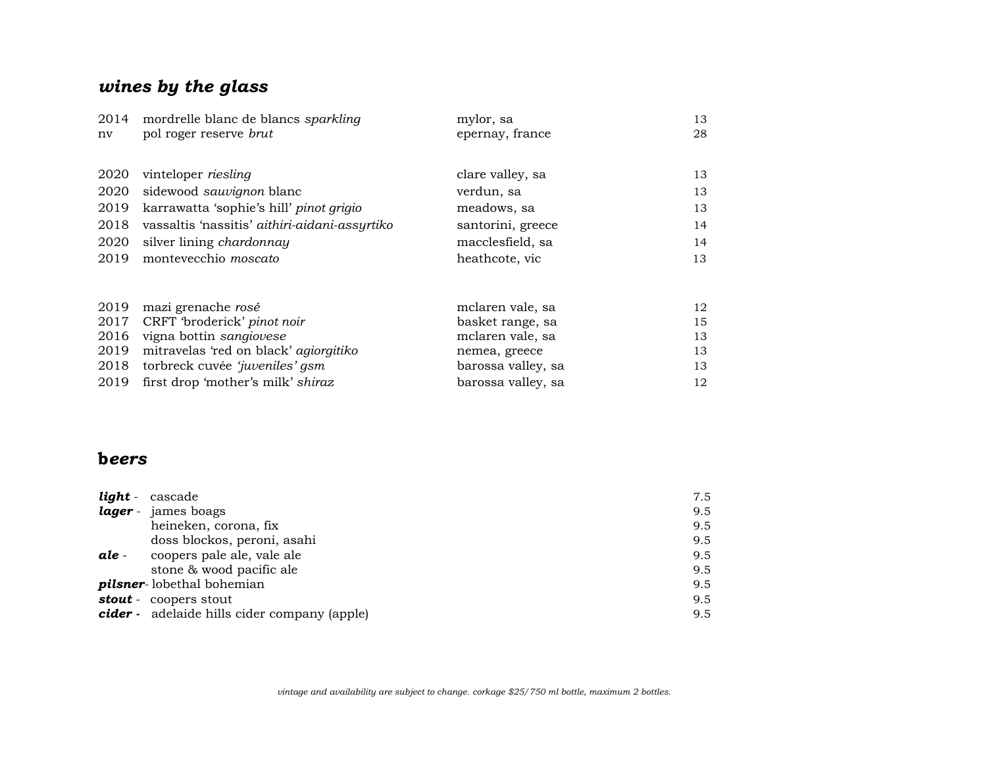# *wines by the glass*

| 2014 | mordrelle blanc de blancs sparkling           | mylor, sa          | 13 |
|------|-----------------------------------------------|--------------------|----|
| nv   | pol roger reserve brut                        | epernay, france    | 28 |
|      |                                               |                    |    |
| 2020 | vinteloper riesling                           | clare valley, sa   | 13 |
| 2020 | sidewood sauvignon blanc                      | verdun, sa         | 13 |
| 2019 | karrawatta 'sophie's hill' pinot grigio       | meadows, sa        | 13 |
| 2018 | vassaltis 'nassitis' aithiri-aidani-assyrtiko | santorini, greece  | 14 |
| 2020 | silver lining chardonnay                      | macclesfield, sa   | 14 |
| 2019 | montevecchio <i>moscato</i>                   | heathcote, vic     | 13 |
|      |                                               |                    |    |
| 2019 | mazi grenache rosé                            | mclaren vale, sa   | 12 |
| 2017 | CRFT 'broderick' pinot noir                   | basket range, sa   | 15 |
| 2016 | vigna bottin sangiovese                       | mclaren vale, sa   | 13 |
| 2019 | mitravelas 'red on black' agiorgitiko         | nemea, greece      | 13 |
| 2018 | torbreck cuvée 'juveniles' gsm                | barossa valley, sa | 13 |
| 2019 | first drop 'mother's milk' shiraz             | barossa valley, sa | 12 |

### **b***eers*

| light - | cascade                                      | 7.5 |
|---------|----------------------------------------------|-----|
|         | lager - james boags                          | 9.5 |
|         | heineken, corona, fix                        | 9.5 |
|         | doss blockos, peroni, asahi                  | 9.5 |
| ale -   | coopers pale ale, vale ale                   | 9.5 |
|         | stone & wood pacific ale                     | 9.5 |
|         | pilsner-lobethal bohemian                    | 9.5 |
|         | <b>stout</b> - coopers stout                 | 9.5 |
|         | cider - adelaide hills cider company (apple) | 9.5 |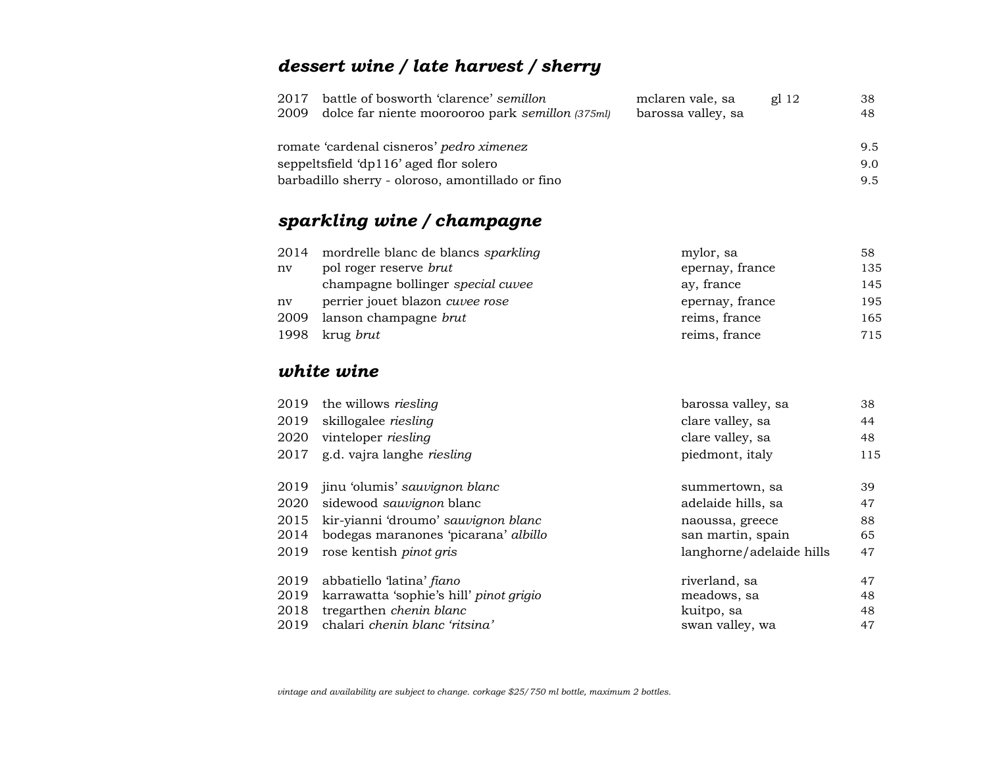# *dessert wine / late harvest / sherry*

| 2017 | battle of bosworth 'clarence' semillon           | mclaren vale, sa   | gl <sub>12</sub> | 38  |
|------|--------------------------------------------------|--------------------|------------------|-----|
| 2009 | dolce far niente moorooroo park semillon (375ml) | barossa valley, sa |                  | 48  |
|      |                                                  |                    |                  |     |
|      | romate 'cardenal cisneros' pedro ximenez         |                    |                  | 9.5 |
|      | seppeltsfield 'dp116' aged flor solero           |                    |                  | 9.0 |
|      | barbadillo sherry - oloroso, amontillado or fino |                    |                  | 9.5 |
|      |                                                  |                    |                  |     |

# *sparkling wine / champagne*

| 2014 | mordrelle blanc de blancs sparkling | mylor, sa       | 58  |
|------|-------------------------------------|-----------------|-----|
| nv   | pol roger reserve brut              | epernay, france | 135 |
|      | champagne bollinger special cuvee   | ay, france      | 145 |
| nv   | perrier jouet blazon cuvee rose     | epernay, france | 195 |
| 2009 | lanson champagne brut               | reims, france   | 165 |
| 1998 | krug brut                           | reims, france   | 715 |

### *white wine*

| 2019 | the willows riesling                    | barossa valley, sa       | 38  |
|------|-----------------------------------------|--------------------------|-----|
| 2019 | skillogalee riesling                    | clare valley, sa         | 44  |
| 2020 | vinteloper riesling                     | clare valley, sa         | 48  |
| 2017 | g.d. vajra langhe riesling              | piedmont, italy          | 115 |
| 2019 | jinu 'olumis' sauvignon blanc           | summertown, sa           | 39  |
| 2020 | sidewood sauvignon blanc                | adelaide hills, sa       | 47  |
| 2015 | kir-yianni 'droumo' sauvignon blanc     | naoussa, greece          | 88  |
| 2014 | bodegas maranones 'picarana' albillo    | san martin, spain        | 65  |
| 2019 | rose kentish <i>pinot gris</i>          | langhorne/adelaide hills | 47  |
| 2019 | abbatiello 'latina' <i>fiano</i>        | riverland, sa            | 47  |
| 2019 | karrawatta 'sophie's hill' pinot grigio | meadows, sa              | 48  |
| 2018 | tregarthen chenin blanc                 | kuitpo, sa               | 48  |
| 2019 | chalari chenin blanc 'ritsina'          | swan valley, wa          | 47  |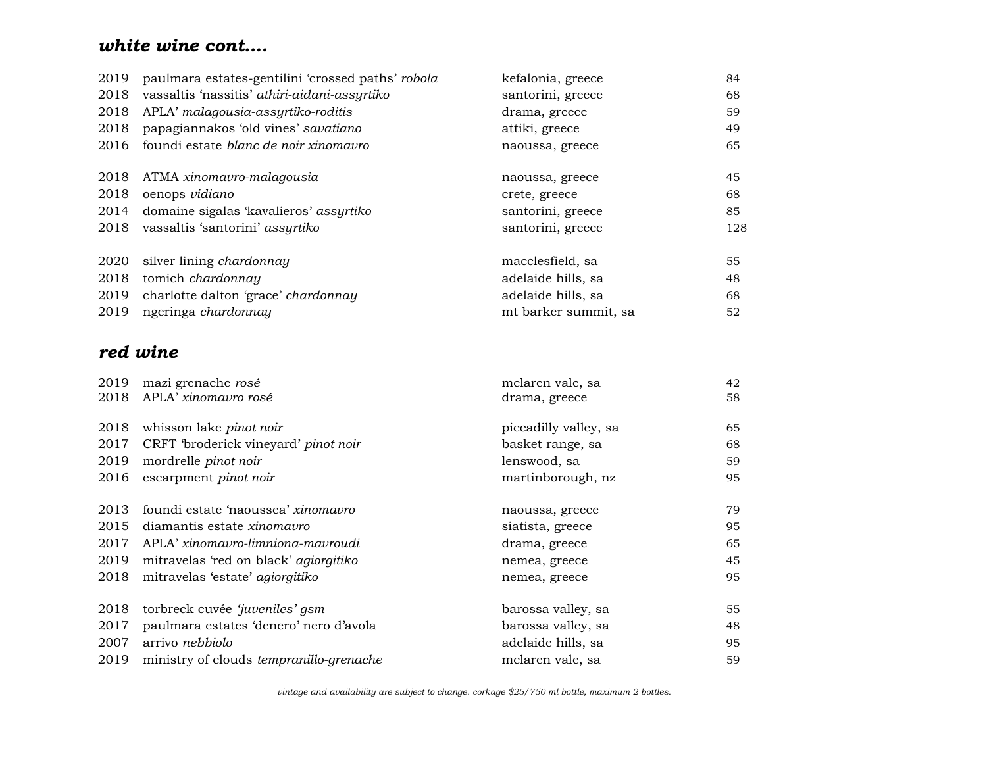# *white wine cont….*

| 2019 | paulmara estates-gentilini 'crossed paths' robola | kefalonia, greece    | 84  |
|------|---------------------------------------------------|----------------------|-----|
| 2018 | vassaltis 'nassitis' athiri-aidani-assyrtiko      | santorini, greece    | 68  |
| 2018 | APLA' malagousia-assyrtiko-roditis                | drama, greece        | 59  |
| 2018 | papagiannakos 'old vines' savatiano               | attiki, greece       | 49  |
| 2016 | foundi estate blanc de noir xinomavro             | naoussa, greece      | 65  |
| 2018 | ATMA xinomavro-malagousia                         | naoussa, greece      | 45  |
| 2018 | oenops vidiano                                    | crete, greece        | 68  |
| 2014 | domaine sigalas 'kavalieros' assyrtiko            | santorini, greece    | 85  |
| 2018 | vassaltis 'santorini' assyrtiko                   | santorini, greece    | 128 |
| 2020 | silver lining chardonnay                          | macclesfield, sa     | 55  |
| 2018 | tomich chardonnay                                 | adelaide hills, sa   | 48  |
| 2019 | charlotte dalton 'grace' chardonnay               | adelaide hills, sa   | 68  |
| 2019 | ngeringa chardonnay                               | mt barker summit, sa | 52  |

# *red wine*

| 2019 | mazi grenache rosé                      | mclaren vale, sa      | 42 |
|------|-----------------------------------------|-----------------------|----|
| 2018 | APLA' xinomavro rosé                    | drama, greece         | 58 |
| 2018 | whisson lake pinot noir                 | piccadilly valley, sa | 65 |
| 2017 | CRFT 'broderick vineyard' pinot noir    | basket range, sa      | 68 |
| 2019 | mordrelle pinot noir                    | lenswood, sa          | 59 |
| 2016 | escarpment pinot noir                   | martinborough, nz     | 95 |
| 2013 | foundi estate 'naoussea' xinomavro      | naoussa, greece       | 79 |
| 2015 | diamantis estate <i>xinomavro</i>       | siatista, greece      | 95 |
| 2017 | APLA' xinomavro-limniona-mavroudi       | drama, greece         | 65 |
| 2019 | mitravelas 'red on black' agiorgitiko   | nemea, greece         | 45 |
| 2018 | mitravelas 'estate' agiorgitiko         | nemea, greece         | 95 |
| 2018 | torbreck cuvée 'juveniles' gsm          | barossa valley, sa    | 55 |
| 2017 | paulmara estates 'denero' nero d'avola  | barossa valley, sa    | 48 |
| 2007 | arrivo nebbiolo                         | adelaide hills, sa    | 95 |
| 2019 | ministry of clouds tempranillo-grenache | mclaren vale, sa      | 59 |

 *vintage and availability are subject to change. corkage \$25/750 ml bottle, maximum 2 bottles.*